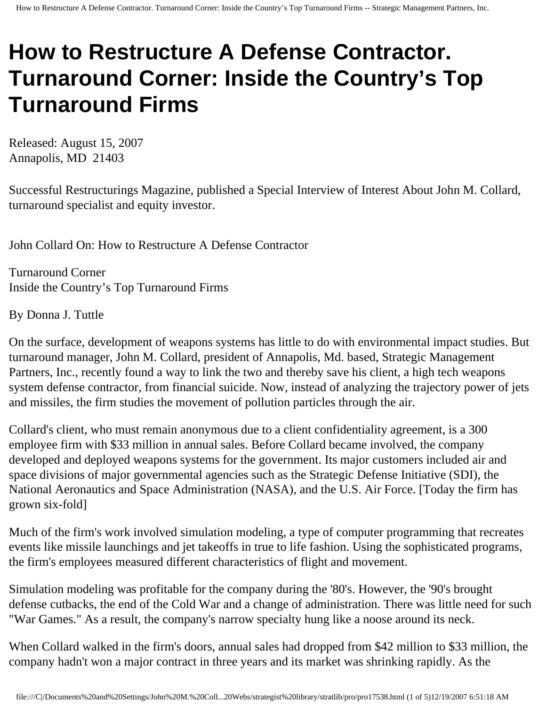## **How to Restructure A Defense Contractor. Turnaround Corner: Inside the Country's Top Turnaround Firms**

Released: August 15, 2007 Annapolis, MD 21403

Successful Restructurings Magazine, published a Special Interview of Interest About John M. Collard, turnaround specialist and equity investor.

John Collard On: How to Restructure A Defense Contractor

Turnaround Corner Inside the Country's Top Turnaround Firms

By Donna J. Tuttle

On the surface, development of weapons systems has little to do with environmental impact studies. But turnaround manager, John M. Collard, president of Annapolis, Md. based, Strategic Management Partners, Inc., recently found a way to link the two and thereby save his client, a high tech weapons system defense contractor, from financial suicide. Now, instead of analyzing the trajectory power of jets and missiles, the firm studies the movement of pollution particles through the air.

Collard's client, who must remain anonymous due to a client confidentiality agreement, is a 300 employee firm with \$33 million in annual sales. Before Collard became involved, the company developed and deployed weapons systems for the government. Its major customers included air and space divisions of major governmental agencies such as the Strategic Defense Initiative (SDI), the National Aeronautics and Space Administration (NASA), and the U.S. Air Force. [Today the firm has grown six-fold]

Much of the firm's work involved simulation modeling, a type of computer programming that recreates events like missile launchings and jet takeoffs in true to life fashion. Using the sophisticated programs, the firm's employees measured different characteristics of flight and movement.

Simulation modeling was profitable for the company during the '80's. However, the '90's brought defense cutbacks, the end of the Cold War and a change of administration. There was little need for such "War Games." As a result, the company's narrow specialty hung like a noose around its neck.

When Collard walked in the firm's doors, annual sales had dropped from \$42 million to \$33 million, the company hadn't won a major contract in three years and its market was shrinking rapidly. As the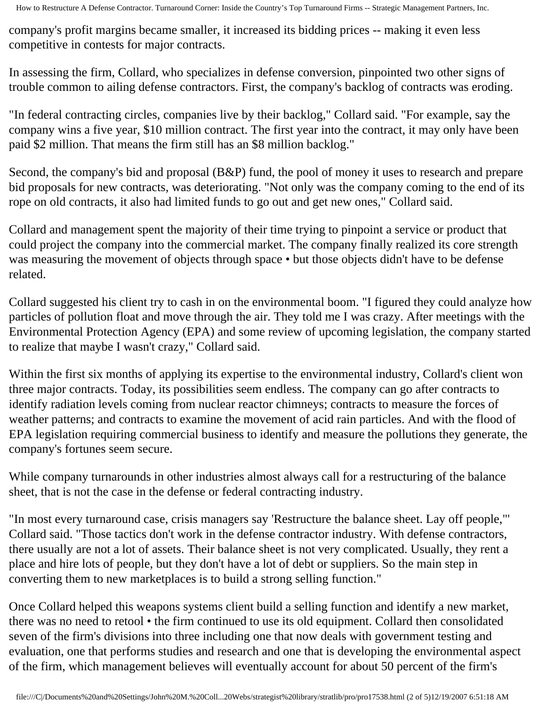company's profit margins became smaller, it increased its bidding prices -- making it even less competitive in contests for major contracts.

In assessing the firm, Collard, who specializes in defense conversion, pinpointed two other signs of trouble common to ailing defense contractors. First, the company's backlog of contracts was eroding.

"In federal contracting circles, companies live by their backlog," Collard said. "For example, say the company wins a five year, \$10 million contract. The first year into the contract, it may only have been paid \$2 million. That means the firm still has an \$8 million backlog."

Second, the company's bid and proposal (B&P) fund, the pool of money it uses to research and prepare bid proposals for new contracts, was deteriorating. "Not only was the company coming to the end of its rope on old contracts, it also had limited funds to go out and get new ones," Collard said.

Collard and management spent the majority of their time trying to pinpoint a service or product that could project the company into the commercial market. The company finally realized its core strength was measuring the movement of objects through space • but those objects didn't have to be defense related.

Collard suggested his client try to cash in on the environmental boom. "I figured they could analyze how particles of pollution float and move through the air. They told me I was crazy. After meetings with the Environmental Protection Agency (EPA) and some review of upcoming legislation, the company started to realize that maybe I wasn't crazy," Collard said.

Within the first six months of applying its expertise to the environmental industry, Collard's client won three major contracts. Today, its possibilities seem endless. The company can go after contracts to identify radiation levels coming from nuclear reactor chimneys; contracts to measure the forces of weather patterns; and contracts to examine the movement of acid rain particles. And with the flood of EPA legislation requiring commercial business to identify and measure the pollutions they generate, the company's fortunes seem secure.

While company turnarounds in other industries almost always call for a restructuring of the balance sheet, that is not the case in the defense or federal contracting industry.

"In most every turnaround case, crisis managers say 'Restructure the balance sheet. Lay off people,"' Collard said. "Those tactics don't work in the defense contractor industry. With defense contractors, there usually are not a lot of assets. Their balance sheet is not very complicated. Usually, they rent a place and hire lots of people, but they don't have a lot of debt or suppliers. So the main step in converting them to new marketplaces is to build a strong selling function."

Once Collard helped this weapons systems client build a selling function and identify a new market, there was no need to retool • the firm continued to use its old equipment. Collard then consolidated seven of the firm's divisions into three including one that now deals with government testing and evaluation, one that performs studies and research and one that is developing the environmental aspect of the firm, which management believes will eventually account for about 50 percent of the firm's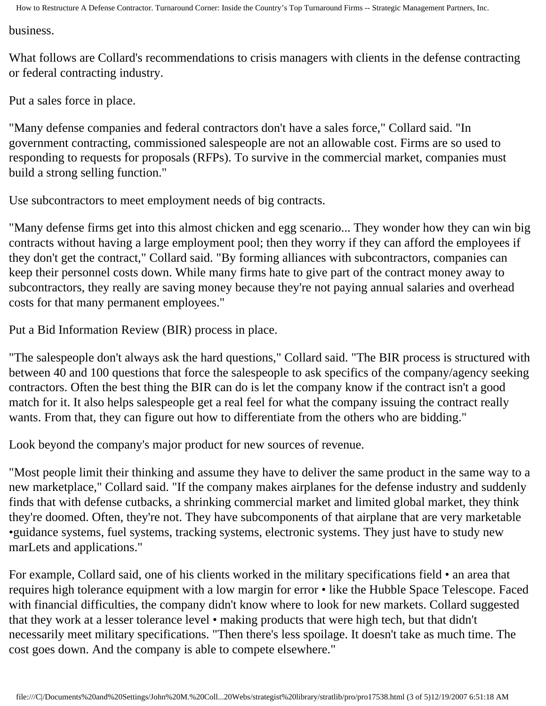How to Restructure A Defense Contractor. Turnaround Corner: Inside the Country's Top Turnaround Firms -- Strategic Management Partners, Inc.

business.

What follows are Collard's recommendations to crisis managers with clients in the defense contracting or federal contracting industry.

Put a sales force in place.

"Many defense companies and federal contractors don't have a sales force," Collard said. "In government contracting, commissioned salespeople are not an allowable cost. Firms are so used to responding to requests for proposals (RFPs). To survive in the commercial market, companies must build a strong selling function."

Use subcontractors to meet employment needs of big contracts.

"Many defense firms get into this almost chicken and egg scenario... They wonder how they can win big contracts without having a large employment pool; then they worry if they can afford the employees if they don't get the contract," Collard said. "By forming alliances with subcontractors, companies can keep their personnel costs down. While many firms hate to give part of the contract money away to subcontractors, they really are saving money because they're not paying annual salaries and overhead costs for that many permanent employees."

Put a Bid Information Review (BIR) process in place.

"The salespeople don't always ask the hard questions," Collard said. "The BIR process is structured with between 40 and 100 questions that force the salespeople to ask specifics of the company/agency seeking contractors. Often the best thing the BIR can do is let the company know if the contract isn't a good match for it. It also helps salespeople get a real feel for what the company issuing the contract really wants. From that, they can figure out how to differentiate from the others who are bidding."

Look beyond the company's major product for new sources of revenue.

"Most people limit their thinking and assume they have to deliver the same product in the same way to a new marketplace," Collard said. "If the company makes airplanes for the defense industry and suddenly finds that with defense cutbacks, a shrinking commercial market and limited global market, they think they're doomed. Often, they're not. They have subcomponents of that airplane that are very marketable •guidance systems, fuel systems, tracking systems, electronic systems. They just have to study new marLets and applications."

For example, Collard said, one of his clients worked in the military specifications field • an area that requires high tolerance equipment with a low margin for error • like the Hubble Space Telescope. Faced with financial difficulties, the company didn't know where to look for new markets. Collard suggested that they work at a lesser tolerance level • making products that were high tech, but that didn't necessarily meet military specifications. "Then there's less spoilage. It doesn't take as much time. The cost goes down. And the company is able to compete elsewhere."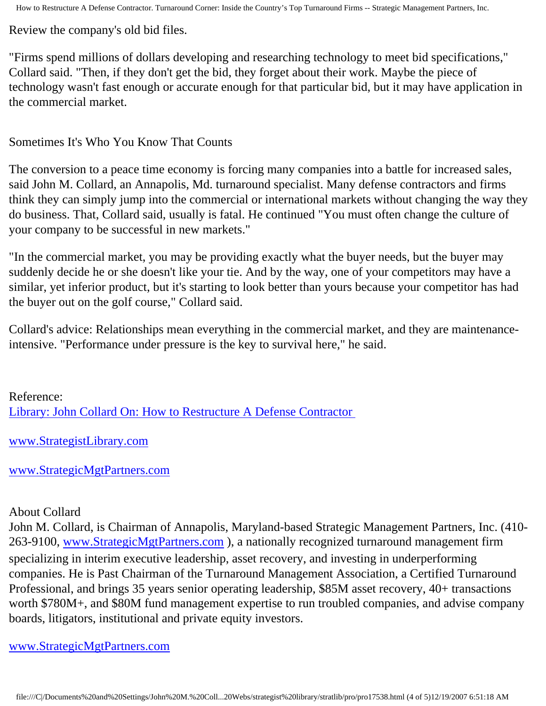Review the company's old bid files.

"Firms spend millions of dollars developing and researching technology to meet bid specifications," Collard said. "Then, if they don't get the bid, they forget about their work. Maybe the piece of technology wasn't fast enough or accurate enough for that particular bid, but it may have application in the commercial market.

Sometimes It's Who You Know That Counts

The conversion to a peace time economy is forcing many companies into a battle for increased sales, said John M. Collard, an Annapolis, Md. turnaround specialist. Many defense contractors and firms think they can simply jump into the commercial or international markets without changing the way they do business. That, Collard said, usually is fatal. He continued "You must often change the culture of your company to be successful in new markets."

"In the commercial market, you may be providing exactly what the buyer needs, but the buyer may suddenly decide he or she doesn't like your tie. And by the way, one of your competitors may have a similar, yet inferior product, but it's starting to look better than yours because your competitor has had the buyer out on the golf course," Collard said.

Collard's advice: Relationships mean everything in the commercial market, and they are maintenanceintensive. "Performance under pressure is the key to survival here," he said.

Reference: [Library: John Collard On: How to Restructure A Defense Contractor](http://members.aol.com/jmcollard/ssr.html)

[www.StrategistLibrary.com](http://www.strategistlibrary.com/)

[www.StrategicMgtPartners.com](http://www.strategicmgtpartners.com/)

## About Collard

John M. Collard, is Chairman of Annapolis, Maryland-based Strategic Management Partners, Inc. (410- 263-9100, [www.StrategicMgtPartners.com](http://www.strategicmgtpartners.com/) ), a nationally recognized turnaround management firm specializing in interim executive leadership, asset recovery, and investing in underperforming companies. He is Past Chairman of the Turnaround Management Association, a Certified Turnaround Professional, and brings 35 years senior operating leadership, \$85M asset recovery, 40+ transactions worth \$780M+, and \$80M fund management expertise to run troubled companies, and advise company boards, litigators, institutional and private equity investors.

[www.StrategicMgtPartners.com](http://www.strategicmgtpartners.com/)